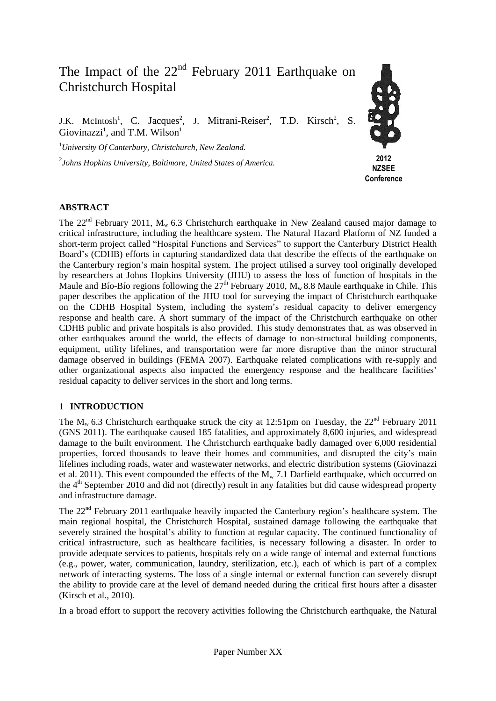# The Impact of the  $22<sup>nd</sup>$  February 2011 Earthquake on Christchurch Hospital

J.K. McIntosh<sup>1</sup>, C. Jacques<sup>2</sup>, J. Mitrani-Reiser<sup>2</sup>, T.D. Kirsch<sup>2</sup>, S. Giovinazzi<sup>1</sup>, and T.M. Wilson<sup>1</sup>

<sup>1</sup>*University Of Canterbury, Christchurch, New Zealand.*

2 *Johns Hopkins University, Baltimore, United States of America.*



## **ABSTRACT**

The  $22<sup>nd</sup>$  February 2011, M<sub>w</sub> 6.3 Christchurch earthquake in New Zealand caused major damage to critical infrastructure, including the healthcare system. The Natural Hazard Platform of NZ funded a short-term project called "Hospital Functions and Services" to support the Canterbury District Health Board's (CDHB) efforts in capturing standardized data that describe the effects of the earthquake on the Canterbury region's main hospital system. The project utilised a survey tool originally developed by researchers at Johns Hopkins University (JHU) to assess the loss of function of hospitals in the Maule and Bío-Bío regions following the  $27<sup>th</sup>$  February 2010,  $M_w$  8.8 Maule earthquake in Chile. This paper describes the application of the JHU tool for surveying the impact of Christchurch earthquake on the CDHB Hospital System, including the system's residual capacity to deliver emergency response and health care. A short summary of the impact of the Christchurch earthquake on other CDHB public and private hospitals is also provided. This study demonstrates that, as was observed in other earthquakes around the world, the effects of damage to non-structural building components, equipment, utility lifelines, and transportation were far more disruptive than the minor structural damage observed in buildings (FEMA 2007). Earthquake related complications with re-supply and other organizational aspects also impacted the emergency response and the healthcare facilities' residual capacity to deliver services in the short and long terms.

## 1 **INTRODUCTION**

The  $M_w$  6.3 Christchurch earthquake struck the city at 12:51pm on Tuesday, the 22<sup>nd</sup> February 2011 (GNS 2011). The earthquake caused 185 fatalities, and approximately 8,600 injuries, and widespread damage to the built environment. The Christchurch earthquake badly damaged over 6,000 residential properties, forced thousands to leave their homes and communities, and disrupted the city's main lifelines including roads, water and wastewater networks, and electric distribution systems (Giovinazzi et al. 2011). This event compounded the effects of the  $M_{w}$  7.1 Darfield earthquake, which occurred on the 4<sup>th</sup> September 2010 and did not (directly) result in any fatalities but did cause widespread property and infrastructure damage.

The 22<sup>nd</sup> February 2011 earthquake heavily impacted the Canterbury region's healthcare system. The main regional hospital, the Christchurch Hospital, sustained damage following the earthquake that severely strained the hospital's ability to function at regular capacity. The continued functionality of critical infrastructure, such as healthcare facilities, is necessary following a disaster. In order to provide adequate services to patients, hospitals rely on a wide range of internal and external functions (e.g., power, water, communication, laundry, sterilization, etc.), each of which is part of a complex network of interacting systems. The loss of a single internal or external function can severely disrupt the ability to provide care at the level of demand needed during the critical first hours after a disaster (Kirsch et al., 2010).

In a broad effort to support the recovery activities following the Christchurch earthquake, the Natural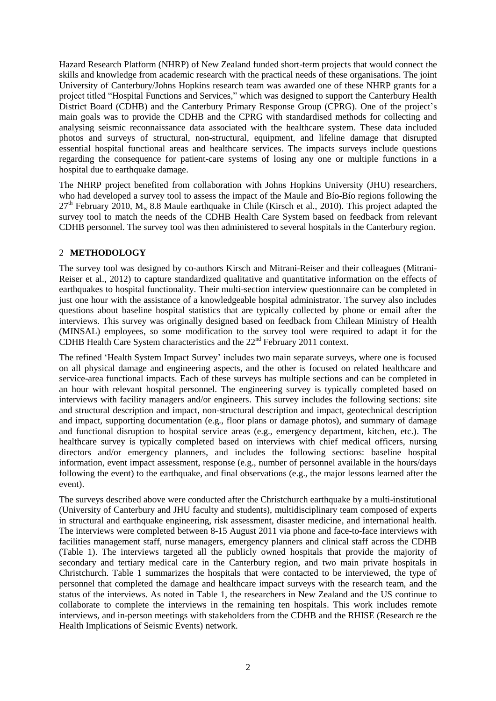Hazard Research Platform (NHRP) of New Zealand funded short-term projects that would connect the skills and knowledge from academic research with the practical needs of these organisations. The joint University of Canterbury/Johns Hopkins research team was awarded one of these NHRP grants for a project titled "Hospital Functions and Services," which was designed to support the Canterbury Health District Board (CDHB) and the Canterbury Primary Response Group (CPRG). One of the project's main goals was to provide the CDHB and the CPRG with standardised methods for collecting and analysing seismic reconnaissance data associated with the healthcare system. These data included photos and surveys of structural, non-structural, equipment, and lifeline damage that disrupted essential hospital functional areas and healthcare services. The impacts surveys include questions regarding the consequence for patient-care systems of losing any one or multiple functions in a hospital due to earthquake damage.

The NHRP project benefited from collaboration with Johns Hopkins University (JHU) researchers, who had developed a survey tool to assess the impact of the Maule and Bío-Bío regions following the  $27<sup>th</sup>$  February 2010, M<sub>w</sub> 8.8 Maule earthquake in Chile (Kirsch et al., 2010). This project adapted the survey tool to match the needs of the CDHB Health Care System based on feedback from relevant CDHB personnel. The survey tool was then administered to several hospitals in the Canterbury region.

## 2 **METHODOLOGY**

The survey tool was designed by co-authors Kirsch and Mitrani-Reiser and their colleagues (Mitrani-Reiser et al., 2012) to capture standardized qualitative and quantitative information on the effects of earthquakes to hospital functionality. Their multi-section interview questionnaire can be completed in just one hour with the assistance of a knowledgeable hospital administrator. The survey also includes questions about baseline hospital statistics that are typically collected by phone or email after the interviews. This survey was originally designed based on feedback from Chilean Ministry of Health (MINSAL) employees, so some modification to the survey tool were required to adapt it for the CDHB Health Care System characteristics and the 22<sup>nd</sup> February 2011 context.

The refined 'Health System Impact Survey' includes two main separate surveys, where one is focused on all physical damage and engineering aspects, and the other is focused on related healthcare and service-area functional impacts. Each of these surveys has multiple sections and can be completed in an hour with relevant hospital personnel. The engineering survey is typically completed based on interviews with facility managers and/or engineers. This survey includes the following sections: site and structural description and impact, non-structural description and impact, geotechnical description and impact, supporting documentation (e.g., floor plans or damage photos), and summary of damage and functional disruption to hospital service areas (e.g., emergency department, kitchen, etc.). The healthcare survey is typically completed based on interviews with chief medical officers, nursing directors and/or emergency planners, and includes the following sections: baseline hospital information, event impact assessment, response (e.g., number of personnel available in the hours/days following the event) to the earthquake, and final observations (e.g., the major lessons learned after the event).

The surveys described above were conducted after the Christchurch earthquake by a multi-institutional (University of Canterbury and JHU faculty and students), multidisciplinary team composed of experts in structural and earthquake engineering, risk assessment, disaster medicine, and international health. The interviews were completed between 8-15 August 2011 via phone and face-to-face interviews with facilities management staff, nurse managers, emergency planners and clinical staff across the CDHB (Table 1). The interviews targeted all the publicly owned hospitals that provide the majority of secondary and tertiary medical care in the Canterbury region, and two main private hospitals in Christchurch. Table 1 summarizes the hospitals that were contacted to be interviewed, the type of personnel that completed the damage and healthcare impact surveys with the research team, and the status of the interviews. As noted in Table 1, the researchers in New Zealand and the US continue to collaborate to complete the interviews in the remaining ten hospitals. This work includes remote interviews, and in-person meetings with stakeholders from the CDHB and the RHISE (Research re the Health Implications of Seismic Events) network.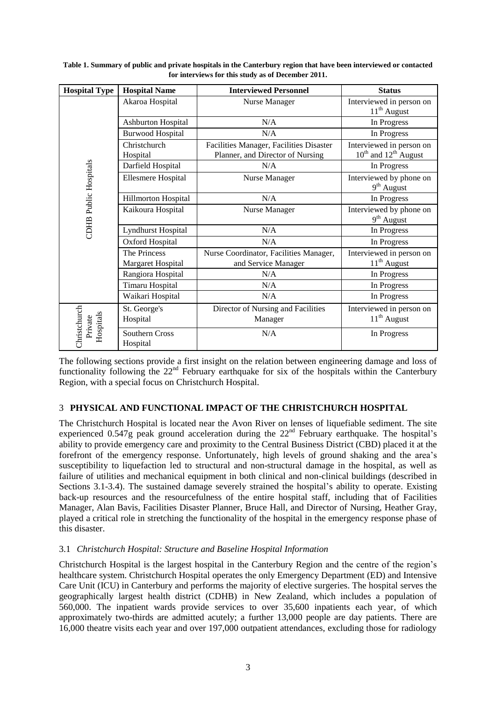| <b>Hospital Type</b>                 | <b>Hospital Name</b>       | <b>Interviewed Personnel</b>            | <b>Status</b>                                     |  |
|--------------------------------------|----------------------------|-----------------------------------------|---------------------------------------------------|--|
| <b>CDHB</b> Public Hospitals         | Akaroa Hospital            | Nurse Manager                           | Interviewed in person on<br>$11th$ August         |  |
|                                      | <b>Ashburton Hospital</b>  | N/A                                     | In Progress                                       |  |
|                                      | <b>Burwood Hospital</b>    | N/A                                     | In Progress                                       |  |
|                                      | Christchurch               | Facilities Manager, Facilities Disaster | Interviewed in person on                          |  |
|                                      | Hospital                   | Planner, and Director of Nursing        | $10^{th}$ and $12^{th}$ August                    |  |
|                                      | Darfield Hospital          | N/A                                     | In Progress                                       |  |
|                                      | <b>Ellesmere Hospital</b>  | Nurse Manager                           | Interviewed by phone on<br>9 <sup>th</sup> August |  |
|                                      | Hillmorton Hospital        | N/A                                     | In Progress                                       |  |
|                                      | Kaikoura Hospital          | Nurse Manager                           | Interviewed by phone on<br>$9th$ August           |  |
|                                      | <b>Lyndhurst Hospital</b>  | N/A                                     | In Progress                                       |  |
|                                      | Oxford Hospital            | N/A                                     | In Progress                                       |  |
|                                      | The Princess               | Nurse Coordinator, Facilities Manager,  | Interviewed in person on                          |  |
|                                      | Margaret Hospital          | and Service Manager                     | $11th$ August                                     |  |
|                                      | Rangiora Hospital          | N/A                                     | In Progress                                       |  |
|                                      | <b>Timaru Hospital</b>     | N/A                                     | In Progress                                       |  |
|                                      | Waikari Hospital           | N/A                                     | In Progress                                       |  |
| Christchurch<br>Hospitals<br>Private | St. George's               | Director of Nursing and Facilities      | Interviewed in person on                          |  |
|                                      | Hospital                   | Manager                                 | $11th$ August                                     |  |
|                                      | Southern Cross<br>Hospital | N/A                                     | In Progress                                       |  |

**Table 1. Summary of public and private hospitals in the Canterbury region that have been interviewed or contacted for interviews for this study as of December 2011.**

The following sections provide a first insight on the relation between engineering damage and loss of functionality following the  $22<sup>nd</sup>$  February earthquake for six of the hospitals within the Canterbury Region, with a special focus on Christchurch Hospital.

## 3 **PHYSICAL AND FUNCTIONAL IMPACT OF THE CHRISTCHURCH HOSPITAL**

The Christchurch Hospital is located near the Avon River on lenses of liquefiable sediment. The site experienced 0.547g peak ground acceleration during the  $22<sup>nd</sup>$  February earthquake. The hospital's ability to provide emergency care and proximity to the Central Business District (CBD) placed it at the forefront of the emergency response. Unfortunately, high levels of ground shaking and the area's susceptibility to liquefaction led to structural and non-structural damage in the hospital, as well as failure of utilities and mechanical equipment in both clinical and non-clinical buildings (described in Sections 3.1-3.4). The sustained damage severely strained the hospital's ability to operate. Existing back-up resources and the resourcefulness of the entire hospital staff, including that of Facilities Manager, Alan Bavis, Facilities Disaster Planner, Bruce Hall, and Director of Nursing, Heather Gray, played a critical role in stretching the functionality of the hospital in the emergency response phase of this disaster.

## 3.1 *Christchurch Hospital: Structure and Baseline Hospital Information*

Christchurch Hospital is the largest hospital in the Canterbury Region and the centre of the region's healthcare system. Christchurch Hospital operates the only Emergency Department (ED) and Intensive Care Unit (ICU) in Canterbury and performs the majority of elective surgeries. The hospital serves the geographically largest health district (CDHB) in New Zealand, which includes a population of 560,000. The inpatient wards provide services to over 35,600 inpatients each year, of which approximately two-thirds are admitted acutely; a further 13,000 people are day patients. There are 16,000 theatre visits each year and over 197,000 outpatient attendances, excluding those for radiology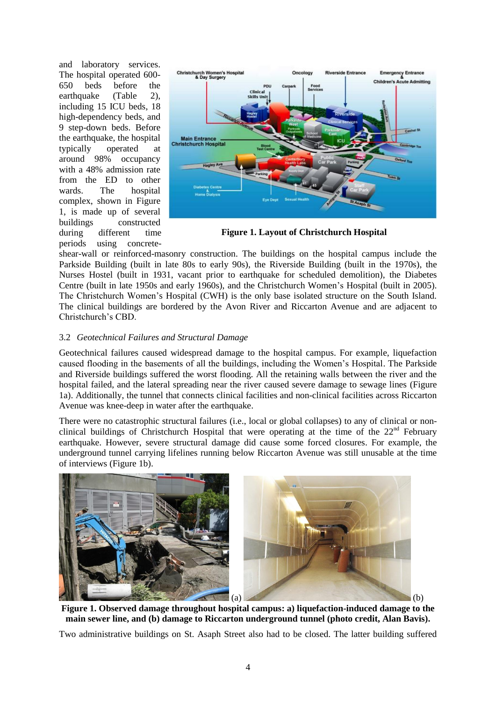and laboratory services. The hospital operated 600- 650 beds before the earthquake (Table 2), including 15 ICU beds, 18 high-dependency beds, and 9 step-down beds. Before the earthquake, the hospital typically operated at around 98% occupancy with a 48% admission rate from the ED to other wards. The hospital complex, shown in Figure 1, is made up of several buildings constructed during different time periods using concrete-



**Figure 1. Layout of Christchurch Hospital**

shear-wall or reinforced-masonry construction. The buildings on the hospital campus include the Parkside Building (built in late 80s to early 90s), the Riverside Building (built in the 1970s), the Nurses Hostel (built in 1931, vacant prior to earthquake for scheduled demolition), the Diabetes Centre (built in late 1950s and early 1960s), and the Christchurch Women's Hospital (built in 2005). The Christchurch Women's Hospital (CWH) is the only base isolated structure on the South Island. The clinical buildings are bordered by the Avon River and Riccarton Avenue and are adjacent to Christchurch's CBD.

## 3.2 *Geotechnical Failures and Structural Damage*

Geotechnical failures caused widespread damage to the hospital campus. For example, liquefaction caused flooding in the basements of all the buildings, including the Women's Hospital. The Parkside and Riverside buildings suffered the worst flooding. All the retaining walls between the river and the hospital failed, and the lateral spreading near the river caused severe damage to sewage lines (Figure 1a). Additionally, the tunnel that connects clinical facilities and non-clinical facilities across Riccarton Avenue was knee-deep in water after the earthquake.

There were no catastrophic structural failures (i.e., local or global collapses) to any of clinical or nonclinical buildings of Christchurch Hospital that were operating at the time of the  $22<sup>nd</sup>$  February earthquake. However, severe structural damage did cause some forced closures. For example, the underground tunnel carrying lifelines running below Riccarton Avenue was still unusable at the time of interviews (Figure 1b).



**Figure 1. Observed damage throughout hospital campus: a) liquefaction-induced damage to the main sewer line, and (b) damage to Riccarton underground tunnel (photo credit, Alan Bavis).**

Two administrative buildings on St. Asaph Street also had to be closed. The latter building suffered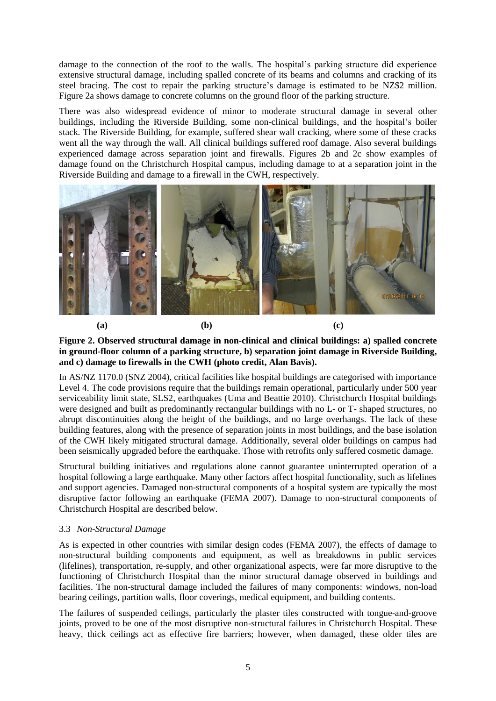damage to the connection of the roof to the walls. The hospital's parking structure did experience extensive structural damage, including spalled concrete of its beams and columns and cracking of its steel bracing. The cost to repair the parking structure's damage is estimated to be NZ\$2 million. Figure 2a shows damage to concrete columns on the ground floor of the parking structure.

There was also widespread evidence of minor to moderate structural damage in several other buildings, including the Riverside Building, some non-clinical buildings, and the hospital's boiler stack. The Riverside Building, for example, suffered shear wall cracking, where some of these cracks went all the way through the wall. All clinical buildings suffered roof damage. Also several buildings experienced damage across separation joint and firewalls. Figures 2b and 2c show examples of damage found on the Christchurch Hospital campus, including damage to at a separation joint in the Riverside Building and damage to a firewall in the CWH, respectively.



## **Figure 2. Observed structural damage in non-clinical and clinical buildings: a) spalled concrete in ground-floor column of a parking structure, b) separation joint damage in Riverside Building, and c) damage to firewalls in the CWH (photo credit, Alan Bavis).**

In AS/NZ 1170.0 (SNZ 2004), critical facilities like hospital buildings are categorised with importance Level 4. The code provisions require that the buildings remain operational, particularly under 500 year serviceability limit state, SLS2, earthquakes (Uma and Beattie 2010). Christchurch Hospital buildings were designed and built as predominantly rectangular buildings with no L- or T- shaped structures, no abrupt discontinuities along the height of the buildings, and no large overhangs. The lack of these building features, along with the presence of separation joints in most buildings, and the base isolation of the CWH likely mitigated structural damage. Additionally, several older buildings on campus had been seismically upgraded before the earthquake. Those with retrofits only suffered cosmetic damage.

Structural building initiatives and regulations alone cannot guarantee uninterrupted operation of a hospital following a large earthquake. Many other factors affect hospital functionality, such as lifelines and support agencies. Damaged non-structural components of a hospital system are typically the most disruptive factor following an earthquake (FEMA 2007). Damage to non-structural components of Christchurch Hospital are described below.

## 3.3 *Non-Structural Damage*

As is expected in other countries with similar design codes (FEMA 2007), the effects of damage to non-structural building components and equipment, as well as breakdowns in public services (lifelines), transportation, re-supply, and other organizational aspects, were far more disruptive to the functioning of Christchurch Hospital than the minor structural damage observed in buildings and facilities. The non-structural damage included the failures of many components: windows, non-load bearing ceilings, partition walls, floor coverings, medical equipment, and building contents.

The failures of suspended ceilings, particularly the plaster tiles constructed with tongue-and-groove joints, proved to be one of the most disruptive non-structural failures in Christchurch Hospital. These heavy, thick ceilings act as effective fire barriers; however, when damaged, these older tiles are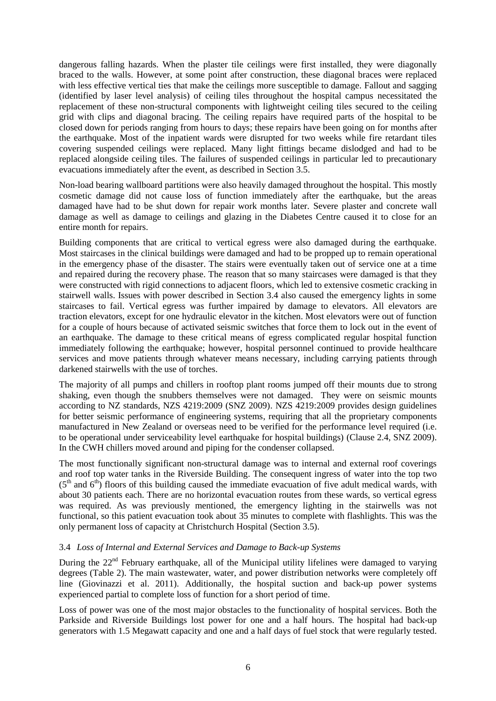dangerous falling hazards. When the plaster tile ceilings were first installed, they were diagonally braced to the walls. However, at some point after construction, these diagonal braces were replaced with less effective vertical ties that make the ceilings more susceptible to damage. Fallout and sagging (identified by laser level analysis) of ceiling tiles throughout the hospital campus necessitated the replacement of these non-structural components with lightweight ceiling tiles secured to the ceiling grid with clips and diagonal bracing. The ceiling repairs have required parts of the hospital to be closed down for periods ranging from hours to days; these repairs have been going on for months after the earthquake. Most of the inpatient wards were disrupted for two weeks while fire retardant tiles covering suspended ceilings were replaced. Many light fittings became dislodged and had to be replaced alongside ceiling tiles. The failures of suspended ceilings in particular led to precautionary evacuations immediately after the event, as described in Section 3.5.

Non-load bearing wallboard partitions were also heavily damaged throughout the hospital. This mostly cosmetic damage did not cause loss of function immediately after the earthquake, but the areas damaged have had to be shut down for repair work months later. Severe plaster and concrete wall damage as well as damage to ceilings and glazing in the Diabetes Centre caused it to close for an entire month for repairs.

Building components that are critical to vertical egress were also damaged during the earthquake. Most staircases in the clinical buildings were damaged and had to be propped up to remain operational in the emergency phase of the disaster. The stairs were eventually taken out of service one at a time and repaired during the recovery phase. The reason that so many staircases were damaged is that they were constructed with rigid connections to adjacent floors, which led to extensive cosmetic cracking in stairwell walls. Issues with power described in Section 3.4 also caused the emergency lights in some staircases to fail. Vertical egress was further impaired by damage to elevators. All elevators are traction elevators, except for one hydraulic elevator in the kitchen. Most elevators were out of function for a couple of hours because of activated seismic switches that force them to lock out in the event of an earthquake. The damage to these critical means of egress complicated regular hospital function immediately following the earthquake; however, hospital personnel continued to provide healthcare services and move patients through whatever means necessary, including carrying patients through darkened stairwells with the use of torches.

The majority of all pumps and chillers in rooftop plant rooms jumped off their mounts due to strong shaking, even though the snubbers themselves were not damaged. They were on seismic mounts according to NZ standards, NZS 4219:2009 (SNZ 2009). NZS 4219:2009 provides design guidelines for better seismic performance of engineering systems, requiring that all the proprietary components manufactured in New Zealand or overseas need to be verified for the performance level required (i.e. to be operational under serviceability level earthquake for hospital buildings) (Clause 2.4, SNZ 2009). In the CWH chillers moved around and piping for the condenser collapsed.

The most functionally significant non-structural damage was to internal and external roof coverings and roof top water tanks in the Riverside Building. The consequent ingress of water into the top two  $(5<sup>th</sup>$  and  $6<sup>th</sup>)$  floors of this building caused the immediate evacuation of five adult medical wards, with about 30 patients each. There are no horizontal evacuation routes from these wards, so vertical egress was required. As was previously mentioned, the emergency lighting in the stairwells was not functional, so this patient evacuation took about 35 minutes to complete with flashlights. This was the only permanent loss of capacity at Christchurch Hospital (Section 3.5).

## 3.4 *Loss of Internal and External Services and Damage to Back-up Systems*

During the  $22<sup>nd</sup>$  February earthquake, all of the Municipal utility lifelines were damaged to varying degrees (Table 2). The main wastewater, water, and power distribution networks were completely off line (Giovinazzi et al. 2011). Additionally, the hospital suction and back-up power systems experienced partial to complete loss of function for a short period of time.

Loss of power was one of the most major obstacles to the functionality of hospital services. Both the Parkside and Riverside Buildings lost power for one and a half hours. The hospital had back-up generators with 1.5 Megawatt capacity and one and a half days of fuel stock that were regularly tested.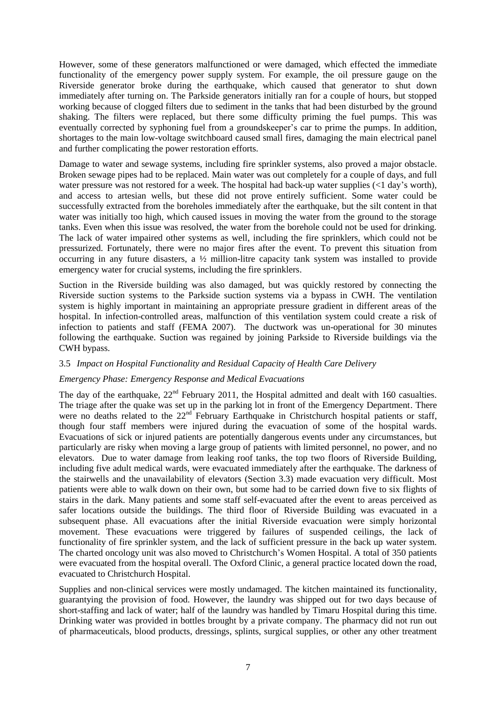However, some of these generators malfunctioned or were damaged, which effected the immediate functionality of the emergency power supply system. For example, the oil pressure gauge on the Riverside generator broke during the earthquake, which caused that generator to shut down immediately after turning on. The Parkside generators initially ran for a couple of hours, but stopped working because of clogged filters due to sediment in the tanks that had been disturbed by the ground shaking. The filters were replaced, but there some difficulty priming the fuel pumps. This was eventually corrected by syphoning fuel from a groundskeeper's car to prime the pumps. In addition, shortages to the main low-voltage switchboard caused small fires, damaging the main electrical panel and further complicating the power restoration efforts.

Damage to water and sewage systems, including fire sprinkler systems, also proved a major obstacle. Broken sewage pipes had to be replaced. Main water was out completely for a couple of days, and full water pressure was not restored for a week. The hospital had back-up water supplies (<1 day's worth), and access to artesian wells, but these did not prove entirely sufficient. Some water could be successfully extracted from the boreholes immediately after the earthquake, but the silt content in that water was initially too high, which caused issues in moving the water from the ground to the storage tanks. Even when this issue was resolved, the water from the borehole could not be used for drinking. The lack of water impaired other systems as well, including the fire sprinklers, which could not be pressurized. Fortunately, there were no major fires after the event. To prevent this situation from occurring in any future disasters, a  $\frac{1}{2}$  million-litre capacity tank system was installed to provide emergency water for crucial systems, including the fire sprinklers.

Suction in the Riverside building was also damaged, but was quickly restored by connecting the Riverside suction systems to the Parkside suction systems via a bypass in CWH. The ventilation system is highly important in maintaining an appropriate pressure gradient in different areas of the hospital. In infection-controlled areas, malfunction of this ventilation system could create a risk of infection to patients and staff (FEMA 2007). The ductwork was un-operational for 30 minutes following the earthquake. Suction was regained by joining Parkside to Riverside buildings via the CWH bypass.

## 3.5 *Impact on Hospital Functionality and Residual Capacity of Health Care Delivery*

#### *Emergency Phase: Emergency Response and Medical Evacuations*

The day of the earthquake,  $22<sup>nd</sup>$  February 2011, the Hospital admitted and dealt with 160 casualties. The triage after the quake was set up in the parking lot in front of the Emergency Department. There were no deaths related to the  $22<sup>nd</sup>$  February Earthquake in Christchurch hospital patients or staff, though four staff members were injured during the evacuation of some of the hospital wards. Evacuations of sick or injured patients are potentially dangerous events under any circumstances, but particularly are risky when moving a large group of patients with limited personnel, no power, and no elevators. Due to water damage from leaking roof tanks, the top two floors of Riverside Building, including five adult medical wards, were evacuated immediately after the earthquake. The darkness of the stairwells and the unavailability of elevators (Section 3.3) made evacuation very difficult. Most patients were able to walk down on their own, but some had to be carried down five to six flights of stairs in the dark. Many patients and some staff self-evacuated after the event to areas perceived as safer locations outside the buildings. The third floor of Riverside Building was evacuated in a subsequent phase. All evacuations after the initial Riverside evacuation were simply horizontal movement. These evacuations were triggered by failures of suspended ceilings, the lack of functionality of fire sprinkler system, and the lack of sufficient pressure in the back up water system. The charted oncology unit was also moved to Christchurch's Women Hospital. A total of 350 patients were evacuated from the hospital overall. The Oxford Clinic, a general practice located down the road, evacuated to Christchurch Hospital.

Supplies and non-clinical services were mostly undamaged. The kitchen maintained its functionality, guarantying the provision of food. However, the laundry was shipped out for two days because of short-staffing and lack of water; half of the laundry was handled by Timaru Hospital during this time. Drinking water was provided in bottles brought by a private company. The pharmacy did not run out of pharmaceuticals, blood products, dressings, splints, surgical supplies, or other any other treatment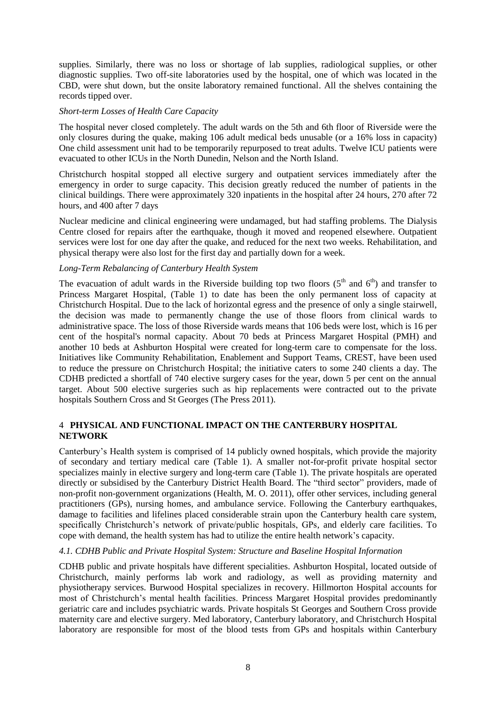supplies. Similarly, there was no loss or shortage of lab supplies, radiological supplies, or other diagnostic supplies. Two off-site laboratories used by the hospital, one of which was located in the CBD, were shut down, but the onsite laboratory remained functional. All the shelves containing the records tipped over.

### *Short-term Losses of Health Care Capacity*

The hospital never closed completely. The adult wards on the 5th and 6th floor of Riverside were the only closures during the quake, making 106 adult medical beds unusable (or a 16% loss in capacity) One child assessment unit had to be temporarily repurposed to treat adults. Twelve ICU patients were evacuated to other ICUs in the North Dunedin, Nelson and the North Island.

Christchurch hospital stopped all elective surgery and outpatient services immediately after the emergency in order to surge capacity. This decision greatly reduced the number of patients in the clinical buildings. There were approximately 320 inpatients in the hospital after 24 hours, 270 after 72 hours, and 400 after 7 days

Nuclear medicine and clinical engineering were undamaged, but had staffing problems. The Dialysis Centre closed for repairs after the earthquake, though it moved and reopened elsewhere. Outpatient services were lost for one day after the quake, and reduced for the next two weeks. Rehabilitation, and physical therapy were also lost for the first day and partially down for a week.

### *Long-Term Rebalancing of Canterbury Health System*

The evacuation of adult wards in the Riverside building top two floors  $(5<sup>th</sup>$  and  $6<sup>th</sup>)$  and transfer to Princess Margaret Hospital, (Table 1) to date has been the only permanent loss of capacity at Christchurch Hospital. Due to the lack of horizontal egress and the presence of only a single stairwell, the decision was made to permanently change the use of those floors from clinical wards to administrative space. The loss of those Riverside wards means that 106 beds were lost, which is 16 per cent of the hospital's normal capacity. About 70 beds at Princess Margaret Hospital (PMH) and another 10 beds at Ashburton Hospital were created for long-term care to compensate for the loss. Initiatives like Community Rehabilitation, Enablement and Support Teams, CREST, have been used to reduce the pressure on Christchurch Hospital; the initiative caters to some 240 clients a day. The CDHB predicted a shortfall of 740 elective surgery cases for the year, down 5 per cent on the annual target. About 500 elective surgeries such as hip replacements were contracted out to the private hospitals Southern Cross and St Georges (The Press 2011).

## 4 **PHYSICAL AND FUNCTIONAL IMPACT ON THE CANTERBURY HOSPITAL NETWORK**

Canterbury's Health system is comprised of 14 publicly owned hospitals, which provide the majority of secondary and tertiary medical care (Table 1). A smaller not-for-profit private hospital sector specializes mainly in elective surgery and long-term care (Table 1). The private hospitals are operated directly or subsidised by the Canterbury District Health Board. The "third sector" providers, made of non-profit non-government organizations (Health, M. O. 2011), offer other services, including general practitioners (GPs), nursing homes, and ambulance service. Following the Canterbury earthquakes, damage to facilities and lifelines placed considerable strain upon the Canterbury health care system, specifically Christchurch's network of private/public hospitals, GPs, and elderly care facilities. To cope with demand, the health system has had to utilize the entire health network's capacity.

## *4.1. CDHB Public and Private Hospital System: Structure and Baseline Hospital Information*

CDHB public and private hospitals have different specialities. Ashburton Hospital, located outside of Christchurch, mainly performs lab work and radiology, as well as providing maternity and physiotherapy services. Burwood Hospital specializes in recovery. Hillmorton Hospital accounts for most of Christchurch's mental health facilities. Princess Margaret Hospital provides predominantly geriatric care and includes psychiatric wards. Private hospitals St Georges and Southern Cross provide maternity care and elective surgery. Med laboratory, Canterbury laboratory, and Christchurch Hospital laboratory are responsible for most of the blood tests from GPs and hospitals within Canterbury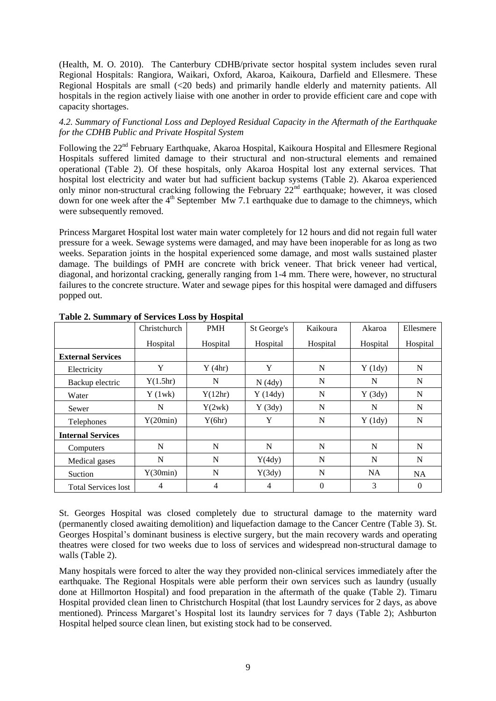(Health, M. O. 2010). The Canterbury CDHB/private sector hospital system includes seven rural Regional Hospitals: Rangiora, Waikari, Oxford, Akaroa, Kaikoura, Darfield and Ellesmere. These Regional Hospitals are small (<20 beds) and primarily handle elderly and maternity patients. All hospitals in the region actively liaise with one another in order to provide efficient care and cope with capacity shortages.

## *4.2. Summary of Functional Loss and Deployed Residual Capacity in the Aftermath of the Earthquake for the CDHB Public and Private Hospital System*

Following the 22<sup>nd</sup> February Earthquake, Akaroa Hospital, Kaikoura Hospital and Ellesmere Regional Hospitals suffered limited damage to their structural and non-structural elements and remained operational (Table 2). Of these hospitals, only Akaroa Hospital lost any external services. That hospital lost electricity and water but had sufficient backup systems (Table 2). Akaroa experienced only minor non-structural cracking following the February 22<sup>nd</sup> earthquake; however, it was closed down for one week after the 4<sup>th</sup> September Mw 7.1 earthquake due to damage to the chimneys, which were subsequently removed.

Princess Margaret Hospital lost water main water completely for 12 hours and did not regain full water pressure for a week. Sewage systems were damaged, and may have been inoperable for as long as two weeks. Separation joints in the hospital experienced some damage, and most walls sustained plaster damage. The buildings of PMH are concrete with brick veneer. That brick veneer had vertical, diagonal, and horizontal cracking, generally ranging from 1-4 mm. There were, however, no structural failures to the concrete structure. Water and sewage pipes for this hospital were damaged and diffusers popped out.

|                            | Christchurch   | <b>PMH</b> | St George's | Kaikoura    | Akaroa    | Ellesmere |
|----------------------------|----------------|------------|-------------|-------------|-----------|-----------|
|                            | Hospital       | Hospital   | Hospital    | Hospital    | Hospital  | Hospital  |
| <b>External Services</b>   |                |            |             |             |           |           |
| Electricity                | Y              | Y(4hr)     | Y           | N           | Y(1dy)    | N         |
| Backup electric            | Y(1.5hr)       | N          | N(4dy)      | N           | N         | N         |
| Water                      | Y(1wk)         | Y(12hr)    | Y(14dy)     | N           | Y(3dy)    | N         |
| Sewer                      | N              | Y(2wk)     | Y(3dy)      | N           | N         | N         |
| Telephones                 | Y(20min)       | Y(6hr)     | Y           | $\mathbf N$ | Y(1dy)    | N         |
| <b>Internal Services</b>   |                |            |             |             |           |           |
| Computers                  | N              | N          | N           | N           | N         | N         |
| Medical gases              | N              | N          | Y(4dy)      | N           | N         | N         |
| Suction                    | Y(30min)       | N          | Y(3dy)      | $\mathbf N$ | <b>NA</b> | <b>NA</b> |
| <b>Total Services lost</b> | $\overline{4}$ | 4          | 4           | $\Omega$    | 3         | $\theta$  |

**Table 2. Summary of Services Loss by Hospital**

St. Georges Hospital was closed completely due to structural damage to the maternity ward (permanently closed awaiting demolition) and liquefaction damage to the Cancer Centre (Table 3). St. Georges Hospital's dominant business is elective surgery, but the main recovery wards and operating theatres were closed for two weeks due to loss of services and widespread non-structural damage to walls (Table 2).

Many hospitals were forced to alter the way they provided non-clinical services immediately after the earthquake. The Regional Hospitals were able perform their own services such as laundry (usually done at Hillmorton Hospital) and food preparation in the aftermath of the quake (Table 2). Timaru Hospital provided clean linen to Christchurch Hospital (that lost Laundry services for 2 days, as above mentioned). Princess Margaret's Hospital lost its laundry services for 7 days (Table 2); Ashburton Hospital helped source clean linen, but existing stock had to be conserved.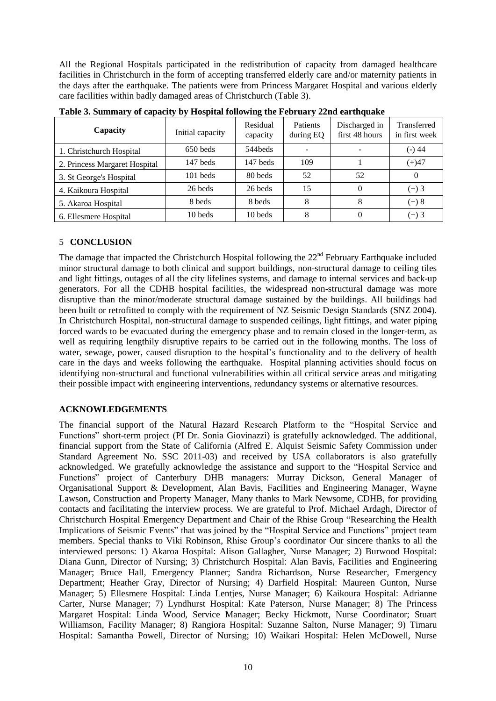All the Regional Hospitals participated in the redistribution of capacity from damaged healthcare facilities in Christchurch in the form of accepting transferred elderly care and/or maternity patients in the days after the earthquake. The patients were from Princess Margaret Hospital and various elderly care facilities within badly damaged areas of Christchurch (Table 3).

| Capacity                      | Initial capacity | Residual<br>capacity | <b>Patients</b><br>during EQ | Discharged in<br>first 48 hours | Transferred<br>in first week |
|-------------------------------|------------------|----------------------|------------------------------|---------------------------------|------------------------------|
| 1. Christchurch Hospital      | 650 beds         | 544beds              | $\overline{\phantom{0}}$     |                                 | (-) 44                       |
| 2. Princess Margaret Hospital | 147 beds         | 147 beds             | 109                          |                                 | $(+)47$                      |
| 3. St George's Hospital       | $101$ beds       | 80 beds              | 52                           | 52                              | $\Omega$                     |
| 4. Kaikoura Hospital          | 26 beds          | 26 beds              | 15                           |                                 | $(+) 3$                      |
| 5. Akaroa Hospital            | 8 beds           | 8 beds               | 8                            | 8                               | $(+) 8$                      |
| 6. Ellesmere Hospital         | 10 beds          | 10 beds              | 8                            |                                 | $(+)$ 3                      |

**Table 3. Summary of capacity by Hospital following the February 22nd earthquake**

## 5 **CONCLUSION**

The damage that impacted the Christchurch Hospital following the  $22<sup>nd</sup>$  February Earthquake included minor structural damage to both clinical and support buildings, non-structural damage to ceiling tiles and light fittings, outages of all the city lifelines systems, and damage to internal services and back-up generators. For all the CDHB hospital facilities, the widespread non-structural damage was more disruptive than the minor/moderate structural damage sustained by the buildings. All buildings had been built or retrofitted to comply with the requirement of NZ Seismic Design Standards (SNZ 2004). In Christchurch Hospital, non-structural damage to suspended ceilings, light fittings, and water piping forced wards to be evacuated during the emergency phase and to remain closed in the longer-term, as well as requiring lengthily disruptive repairs to be carried out in the following months. The loss of water, sewage, power, caused disruption to the hospital's functionality and to the delivery of health care in the days and weeks following the earthquake. Hospital planning activities should focus on identifying non-structural and functional vulnerabilities within all critical service areas and mitigating their possible impact with engineering interventions, redundancy systems or alternative resources.

## **ACKNOWLEDGEMENTS**

The financial support of the Natural Hazard Research Platform to the "Hospital Service and Functions" short-term project (PI Dr. Sonia Giovinazzi) is gratefully acknowledged. The additional, financial support from the State of California (Alfred E. Alquist Seismic Safety Commission under Standard Agreement No. SSC 2011-03) and received by USA collaborators is also gratefully acknowledged. We gratefully acknowledge the assistance and support to the "Hospital Service and Functions" project of Canterbury DHB managers: Murray Dickson, General Manager of Organisational Support & Development, Alan Bavis, Facilities and Engineering Manager, Wayne Lawson, Construction and Property Manager, Many thanks to Mark Newsome, CDHB, for providing contacts and facilitating the interview process. We are grateful to Prof. Michael Ardagh, Director of Christchurch Hospital Emergency Department and Chair of the Rhise Group "Researching the Health Implications of Seismic Events" that was joined by the "Hospital Service and Functions" project team members. Special thanks to Viki Robinson, Rhise Group's coordinator Our sincere thanks to all the interviewed persons: 1) Akaroa Hospital: Alison Gallagher, Nurse Manager; 2) Burwood Hospital: Diana Gunn, Director of Nursing; 3) Christchurch Hospital: Alan Bavis, Facilities and Engineering Manager; Bruce Hall, Emergency Planner; Sandra Richardson, Nurse Researcher, Emergency Department; Heather Gray, Director of Nursing; 4) Darfield Hospital: Maureen Gunton, Nurse Manager; 5) Ellesmere Hospital: Linda Lentjes, Nurse Manager; 6) Kaikoura Hospital: Adrianne Carter, Nurse Manager; 7) Lyndhurst Hospital: Kate Paterson, Nurse Manager; 8) The Princess Margaret Hospital: Linda Wood, Service Manager; Becky Hickmott, Nurse Coordinator; Stuart Williamson, Facility Manager; 8) Rangiora Hospital: Suzanne Salton, Nurse Manager; 9) Timaru Hospital: Samantha Powell, Director of Nursing; 10) Waikari Hospital: Helen McDowell, Nurse